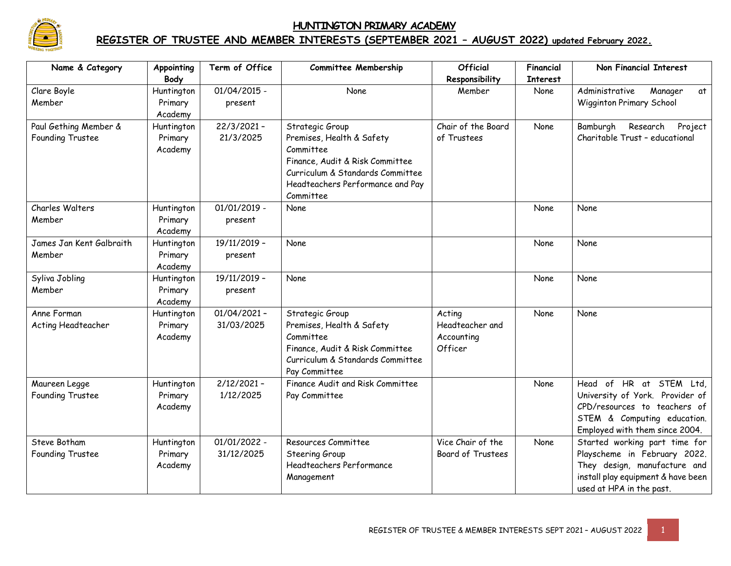

## **HUNTINGTON PRIMARY ACADEMY**

## **REGISTER OF TRUSTEE AND MEMBER INTERESTS (SEPTEMBER 2021 – AUGUST 2022) updated February 2022.**

| Name & Category          | Appointing | Term of Office | <b>Committee Membership</b>      | <b>Official</b>    | Financial | Non Financial Interest             |
|--------------------------|------------|----------------|----------------------------------|--------------------|-----------|------------------------------------|
|                          | Body       |                |                                  | Responsibility     | Interest  |                                    |
| Clare Boyle              | Huntington | $01/04/2015$ - | <b>None</b>                      | Member             | None      | Administrative<br>Manager<br>at    |
| Member                   | Primary    | present        |                                  |                    |           | Wigginton Primary School           |
|                          | Academy    |                |                                  |                    |           |                                    |
| Paul Gething Member &    | Huntington | $22/3/2021 -$  | Strategic Group                  | Chair of the Board | None      | Bamburgh<br>Research<br>Project    |
| Founding Trustee         | Primary    | 21/3/2025      | Premises, Health & Safety        | of Trustees        |           | Charitable Trust - educational     |
|                          | Academy    |                | Committee                        |                    |           |                                    |
|                          |            |                | Finance, Audit & Risk Committee  |                    |           |                                    |
|                          |            |                | Curriculum & Standards Committee |                    |           |                                    |
|                          |            |                | Headteachers Performance and Pay |                    |           |                                    |
|                          |            |                | Committee                        |                    |           |                                    |
| Charles Walters          | Huntington | $01/01/2019 -$ | None                             |                    | None      | None                               |
| Member                   | Primary    | present        |                                  |                    |           |                                    |
|                          | Academy    |                |                                  |                    |           |                                    |
| James Jan Kent Galbraith | Huntington | 19/11/2019 -   | None                             |                    | None      | None                               |
| Member                   | Primary    | present        |                                  |                    |           |                                    |
|                          | Academy    |                |                                  |                    |           |                                    |
| Syliva Jobling           | Huntington | 19/11/2019 -   | None                             |                    | None      | None                               |
| Member                   | Primary    | present        |                                  |                    |           |                                    |
|                          | Academy    |                |                                  |                    |           |                                    |
| Anne Forman              | Huntington | $01/04/2021 -$ | Strategic Group                  | Acting             | None      | None                               |
| Acting Headteacher       | Primary    | 31/03/2025     | Premises, Health & Safety        | Headteacher and    |           |                                    |
|                          | Academy    |                | Committee                        | Accounting         |           |                                    |
|                          |            |                | Finance, Audit & Risk Committee  | Officer            |           |                                    |
|                          |            |                | Curriculum & Standards Committee |                    |           |                                    |
|                          |            |                | Pay Committee                    |                    |           |                                    |
| Maureen Legge            | Huntington | $2/12/2021 -$  | Finance Audit and Risk Committee |                    | None      | Head of HR at STEM<br>Ltd.         |
| Founding Trustee         | Primary    | 1/12/2025      | Pay Committee                    |                    |           | University of York. Provider of    |
|                          | Academy    |                |                                  |                    |           | CPD/resources to teachers of       |
|                          |            |                |                                  |                    |           | STEM & Computing education.        |
|                          |            |                |                                  |                    |           | Employed with them since 2004.     |
| Steve Botham             | Huntington | 01/01/2022 -   | Resources Committee              | Vice Chair of the  | None      | Started working part time for      |
| Founding Trustee         | Primary    | 31/12/2025     | Steering Group                   | Board of Trustees  |           | Playscheme in February 2022.       |
|                          | Academy    |                | Headteachers Performance         |                    |           | They design, manufacture and       |
|                          |            |                | Management                       |                    |           | install play equipment & have been |
|                          |            |                |                                  |                    |           | used at HPA in the past.           |